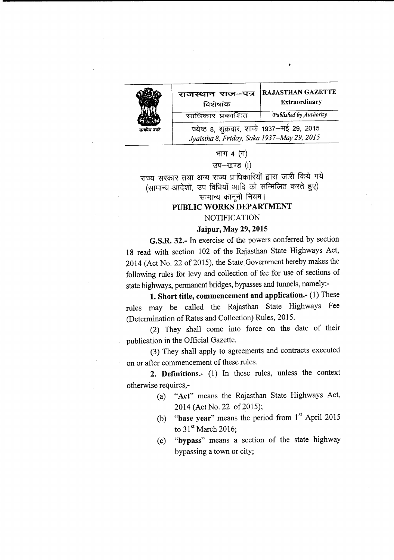

| राजस्थान राज-पत्र<br>विशेषांक                                                            | <b>RAJASTHAN GAZETTE</b><br><b>Extraordinary</b> |  |
|------------------------------------------------------------------------------------------|--------------------------------------------------|--|
| साधिकार प्रकाशित                                                                         | Published by Authority                           |  |
| ज्येष्ठ ८, शुक्रवार, शाके १९३७–मई २९, २०१५<br>Jyaistha 8, Friday, Saka 1937–May 29, 2015 |                                                  |  |

# भाग  $4$   $($  $\Pi)$

# $\overline{u}$ प—खण्ड $\left($ I)

राज्य सरकार तथा अन्य राज्य प्राधिकारियों द्वारा जारी किये गये (सामान्य आदेशों, उप विधियों आदि को सम्मिलित करते हुए)

सामान्य कानूनी नियम।

# PUBLIC WORKS DEPARTMENT

#### **NOTIFICATION**

#### Jaipur, May 29, 2015

G.S.R. 32.- In exercise of the powers conferred by section 18 read with section 102 of the Rajasthan State Highways Act, 2014 (Act No. 22 of 2015), the State Government hereby makes the following rules for levy and collection of fee for use of sections of state highways, permanent bridges, bypasses and tunnels, namely:-

1. Short title, commencement and application.- (1) These rules may be called the Rajasthan State Highways Fee (Determination of Rates and Collection) Rules, 2015.

(2) They shall come into force on the date of their publication in the Official Gazette.

(3) They shall apply to agreements and contracts executed on or after commencement of these rules.

2. Definitions.- (1) In these rules, unless the context otherwise requires,-

- (a) "Act" means the Rajasthan State Highways Act, 2014 (Act No. 22 of 2015);
- (b) "base year" means the period from  $1<sup>st</sup>$  April 2015 to  $31<sup>st</sup>$  March 2016;
- (c) "bypass" means a section of the state highway bypassing a town or city;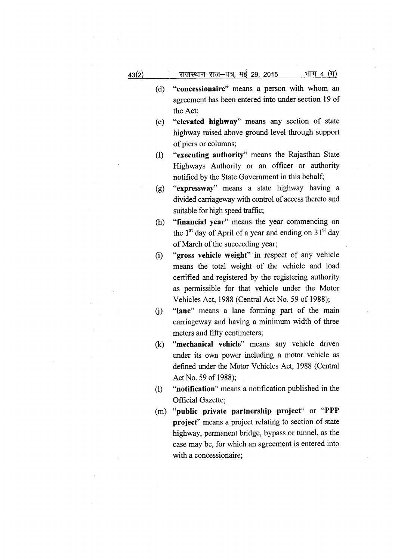- (d) "concessionaire" means a person with whom an agreement has been entered into under section 19 of the Act;
- (e) "elevated highway" means any section of state highway raised above ground level through support of piers or columns;
- (f) "executing authority" means the Rajasthan State Highways Authority or an officer or authority notified by the State Government in this behalf;
- (g) "expressway" means a state highway having a divided carriageway with control of access thereto and suitable for high speed traffic;
- (h) "financial year" means the year commencing on the  $1<sup>st</sup>$  day of April of a year and ending on  $31<sup>st</sup>$  day of March of the succeeding year;
- (i) "gross vehicle weight" in respect of any vehicle means the total weight of the vehicle and load certified and registered by the registering authority as permissible for that vehicle under the Motor Vehicles Act, 1988(Central Act No. 59 of 1988);
- G) "lane" means a lane forming part of the main carriageway and having a minimum width of three meters and fifty centimeters;
- (k) "mechanical vehicle" means any vehicle driven under its own power including a motor vehicle as defined under the Motor Vehicles Act, 1988 (Central Act No. 59 of 1988);
- (1) "notification" means a notification published in the Official Gazette;
- (m) "public private partnership project" or "PPP project" means a project relating to section of state highway, permanent bridge, bypass or tunnel, as the case may be, for which an agreement is entered into with a concessionaire;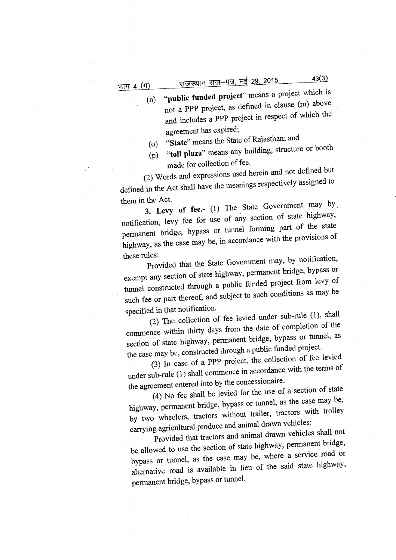- (n) "public funded project" means a project which is not a PPP project, as defined in clause (m) above and includes a PPP project in respect of which the agreement has expired;
- (o) "State" means the State of Rajasthan; and
- (p) "toll plaza" means any building, structure or booth made for collection of fee.

(2) Words and expressions used herein and not defined but defined in the Act shall have the meanings respectively assigned to them in the Act.

3. Levy of fee.- (1) The State Government may by. notification, levy fee for use of any section of state highway, permanent bridge, bypass or tunnel forming part of the state highway, as the case may be, in accordance with the provisions of these rules:

Provided that the State Government may, by notification, exempt any section of state highway, permanent bridge, bypass or tunnel constructed through a public funded project from levy of such fee or part thereof, and subject to such conditions as may be specified in that notification.

(2) The collection of fee levied under sub-rule (1), shall commence within thirty days from the date of completion of the section of state highway, permanent bridge, bypass or tunnel, as the case may be, constructed through a public funded project.

(3) In case of a PPP project, the collection of fee levied under sub-rule (1) shall commence in accordance with the terms of the agreement entered into by the concessionaire.

(4) No fee shall be levied for the use of a section of state highway, permanent bridge, bypass or tunnel, as the case may be, by two wheelers, tractors without trailer, tractors with trolley carrying agricultural produce and animal drawn vehicles:

Provided that tractors and animal drawn vehicles shall not be allowed to use the section of state highway, permanent bridge, bypass or tunnel, as the case may be, where a service road or alternative road is available in lieu of the said state highway, permanent bridge, bypass or tunnel.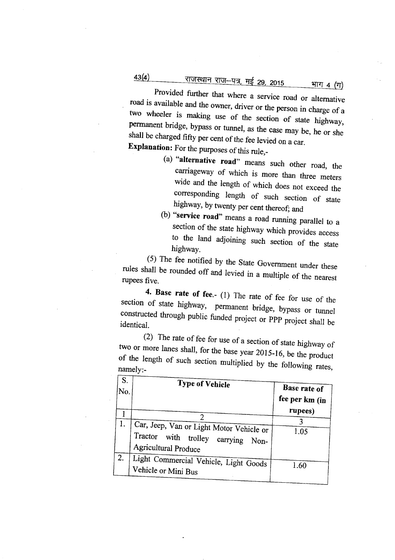# <u>राजस्थान राज–पत्र, मई 29, 2015 भाग</u> 4 (ग)

Provided further that where a service road or alternative road is available and the owner, driver or the person in charge of a two wheeler is making use of the section of state highway, pennanent bridge, bypass or tunnel, as the case may be, he or she shall be charged fifty per cent of the fee levied on a car. Explanation: For the purposes of this rule,-

- (a) "alternative road" means such other road, the carriageway of which is more than three meters wide and the length of which does not exceed the corresponding length of such section of state highway, by twenty per cent thereof; and
- (b) "service road" means a road running parallel to a section of the state highway which provides access to the land adjoining such section of the state highway.

(5) The fee notified by the State Government under these rules shall be rounded off and levied in a multiple of the nearest rupees five.

4. Base rate of fee.- (1) The rate of fee for use of the section of state highway, permanent bridge, bypass or tunnel constructed through public funded project or PPP project shall be identical.

(2) The rate of fee for use of a section of state highway of two or more lanes shall, for the base year 2015-16, be the product of the length of such section multiplied by the following rates, namely:-

| S.<br>No. | <b>Type of Vehicle</b>                                                                                        | <b>Base rate of</b><br>fee per km (in |
|-----------|---------------------------------------------------------------------------------------------------------------|---------------------------------------|
|           |                                                                                                               | rupees)                               |
|           | Car, Jeep, Van or Light Motor Vehicle or<br>Tractor with trolley carrying Non-<br><b>Agricultural Produce</b> | 1.05                                  |
| 2.        | Light Commercial Vehicle, Light Goods<br>Vehicle or Mini Bus                                                  | 1.60                                  |

43(4)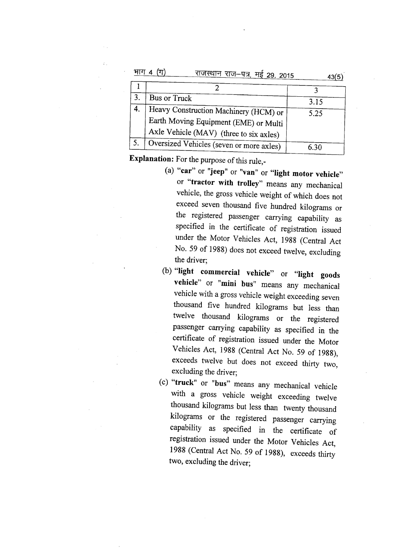|    | राजस्थान राज-पत्र, मई 29, 2015           | 43(5) |
|----|------------------------------------------|-------|
|    |                                          |       |
| 3. | Bus or Truck                             | 3.15  |
| 4. | Heavy Construction Machinery (HCM) or    | 5.25  |
|    | Earth Moving Equipment (EME) or Multi    |       |
|    | Axle Vehicle (MAV) (three to six axles)  |       |
| 5. | Oversized Vehicles (seven or more axles) |       |

Explanation: For the purpose of this rule,-

- (a) "car" or "jeep" or "van" or "light motor vehicle" or "tractor with trolley" means any mechanical vehicle, the gross vehicle weight of which does not exceed seven thousand five hundred kilograms or the registered passenger carrying capability as specified in the certificate of registration issued under the Motor Vehicles Act, 1988 (Central Act No. 59 of 1988) does not exceed twelve, excluding the driver;
- (b) "light commercial vehicle" or "light goods vehicle" or "mini bus" means any mechanical vehicle with a gross vehicle weight exceeding seven thousand five hundred kilograms but less than twelve thousand kilograms or the registered passenger carrying capability as specified in the certificate of registration issued under the Motor Vehicles Act, 1988 (Central Act No. 59 of 1988), exceeds twelve but does not exceed thirty two, excluding the driver;
- (c) "truck" or "bus" means any mechanical vehicle with a gross vehicle weight exceeding twelve thousand kilograms but less than twenty thousand kilograms or the registered passenger carrying capability as specified in the certificate of registration issued under the Motor Vehicles Act, 1988 (Central Act No. 59 of 1988), exceeds thirty two, excluding the driver;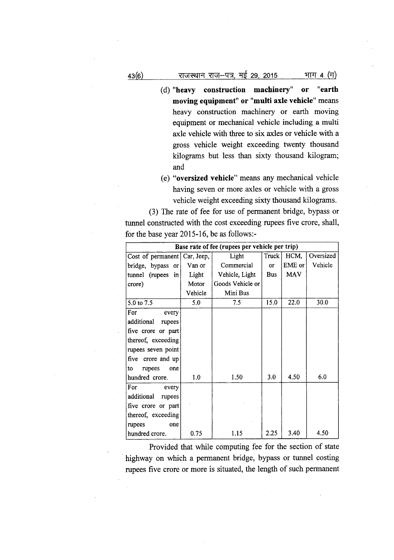- (d) "heavy construction machinery" or "earth moving equipment" or "multi axle vehicle" means heavy construction machinery or earth moving equipment or mechanical vehicle including a multi axle vehicle with three to six axles or vehicle with a gross vehicle weight exceeding twenty thousand kilograms but less than sixty thousand kilogram; and
- (e) "oversized vehicle" means any mechanical vehicle having seven or more axles or vehicle with a gross vehicle weight exceeding sixty thousand kilograms.

(3) The rate of fee for use of permanent bridge, bypass or tunnel constructed with the cost exceeding rupees five crore, shall, for the base year 2015-16, be as follows:-

| Base rate of fee (rupees per vehicle per trip) |         |                  |            |            |           |
|------------------------------------------------|---------|------------------|------------|------------|-----------|
| Cost of permanent Car, Jeep,                   |         | Light            | Truck      | HCM,       | Oversized |
| bridge, bypass or                              | Van or  | Commercial       | or         | EME or     | Vehicle   |
| tunnel (rupees in                              | Light   | Vehicle, Light   | <b>Bus</b> | <b>MAV</b> |           |
| crore)                                         | Motor   | Goods Vehicle or |            |            |           |
|                                                | Vehicle | Mini Bus         |            |            |           |
| 5.0 to 7.5                                     | 5.0     | 7.5              | 15.0       | 22.0       | 30.0      |
| For<br>every                                   |         |                  |            |            |           |
| additional<br>rupees                           |         |                  |            |            |           |
| five crore or part                             |         |                  |            |            |           |
| thereof, exceeding                             |         |                  |            |            |           |
| rupees seven point                             |         |                  |            |            |           |
| five crore and up                              |         |                  |            |            |           |
| rupees<br>one<br>to                            |         |                  |            |            |           |
| hundred crore.                                 | 1.0     | 1.50             | 3.0        | 4.50       | 6.0       |
| For<br>every                                   |         |                  |            |            |           |
| additional<br>rupees                           |         |                  |            |            |           |
| five crore or part                             |         |                  |            |            |           |
| thereof, exceeding                             |         |                  |            |            |           |
| rupees<br>one                                  |         |                  |            |            |           |
| hundred crore.                                 | 0.75    | 1.15             | 2.25       | 3.40       | 4.50      |

Provided that while computing fee for the section of state . highway on which a permanent bridge, bypass or tunnel costing rupees five crore or more is situated, the length of such permanent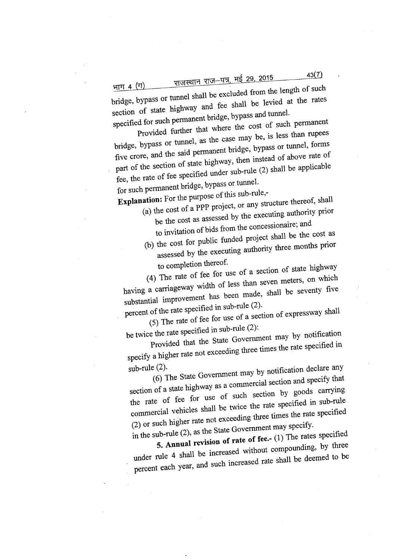<u>राजस्थान राज–पत्र, मई 29, 2015</u>

bridge, bypass or tunnel shall be excluded from the length of such भा<u>ग 4 (ग)</u> section of state highway and fee shall be levied at the rates specified for such permanent bridge, bypass and tunnel.

Provided further that where the cost of such permanent

bridge, bypass or tunnel, as the case may be, is less than rupees five crore, and the said permanent bridge, bypass or tunnel, forms part of the section of state bighway, then instead of above rate of fee, the rate of fee specified under sub-rule (2) shall be applicable for such permanent bridge, bypass or tunnel.

**Explanation:** For the purpose of this sub-rule,- (a) the cost of a **PPP** project, or any structure thereof, shall

- be the cost as assessed by the executing authority prior to invitation of bids from the concessionaire; and
- (b) the cost for public funded project shall be the cost as assessed by the executing authority three months prior to completion thereof.

(4) The rate of fee for use of a section of state highway having a carriageway width of less than seven meters, on which substantial improvement has been made, shall be seventy five percent of the rate specified in sub-rule (2).

(5) The rate of fee for use of a section of expressway shall be twice the rate specified in sub-rule (2):

Provided that the State Government may by notification specify a higher rate not exceeding three times the rate specified in

sub-rule (2). (6) The State Government may by notification declare any section of a state highway as a commercial section and specify that the rate of fee for use of such section by goods carrying commercial vehicles shall be twice the rate specified in sub-rule (2) or such higher rate not exceeding three times the rate specified

in the sub-rule (2), as the State Government may specify. **5. Annual revision of rate of** fee> (1) The rates specified

under rule 4 shall be increased without compounding, by three percent each year, and such increased rate shall be deemed to be

 $43(7)$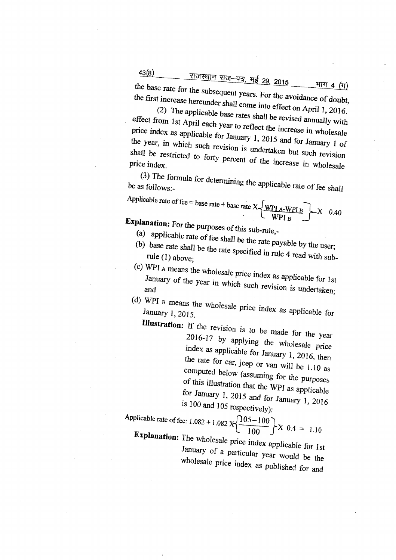<u>43(8) ---------- राजस्थान राज–पत्र, मई 29, 2015</u>

 $\overline{\phantom{a}}$ 

the base rate for the subsequent years. For the avoidance of douhr, <u>भाग 4 (ग)</u> the first increase hereunder shall come into effect on April 1, 2016.

(2) The applicable base rates shall be revised annually with effect from 1st April each year to reflect the increase in wholesale price index as applicable for January 1,2015 and for January 1 of the year, in which such revision is undertaken but such revision price index.

(3) The formula for determining the applicable rate of fee shall be as follows:

Applied the rate of fee = base rate + base rate 
$$
X \left\{ \frac{WPI_A-WPI_B}{WPI_B} \right\} \times 0.40
$$

**Explanation:** For the purposes of this sub-rule.

- 
- (a) applicable rate of fee shall be the rate payable by the user; (b) base rate shall be the rate specified in rule 4 read with subrule (1) above;
- (c) WPI  $_A$  means the wholesale price index as applicable for 1st January of the year in which such revision is undertaken;

 $I_{\text{grav}}$  as  $\frac{1}{2}$  means the *wholesale* price index as applicable for January 1,2015.

**Illustration:** If the revision is to be made for the year 2016-17 by applying the wholesale price index as applicable for January 1, 2016, then the rate for car, jeep or Van will be 1.10 as computed below (assuming for the purposes of this illustration that the WPI as applicable for January 1, 2015 and for January 1, 2016 is 100 and 105 respectively):

Applied the rate of fee: 
$$
1.082 + 1.082 \times \left\{ \frac{105 - 100}{100} \right\} X
$$
 0.4 = 1.10  
Explanation: The red, 1.10

**Explanation:** The Wholesale price index applicable for 1st January of a particular year would be the *wholesale* price index as *published* for and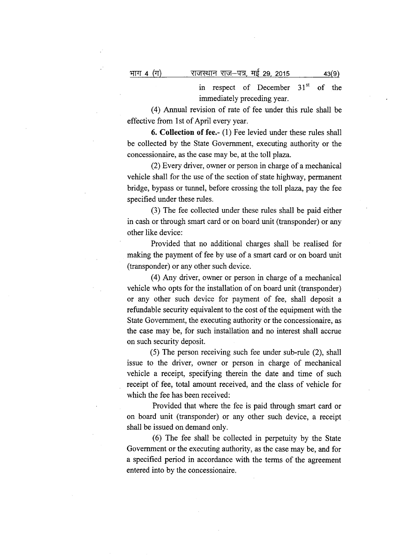in respect of December  $31<sup>st</sup>$  of the immediately preceding year.

(4) Annual revision of rate of fee under this rule shall be effective from 1st of April every year.

**6. Collection of fee.-** (1) Fee levied under these rules shall be collected by the State Government, executing authority or the concessionaire, as the case may be, at the toll plaza.

(2) Every driver, owner or person in charge of a mechanical vehicle shall for the use of the section of state highway, permanent bridge, bypass or tunnel, before crossing the toll plaza, pay the fee specified under these rules.

(3) The fee collected under these rules shall be paid either in cash or through smart card or on board unit (transponder) or any other like device:

Provided that no additional charges shall be realised for making the payment of fee by use of a smart card or on board unit (transponder) or any other such device.

(4) Any driver, owner or person in charge of a mechanical vehicle who opts for the installation of on board unit (transponder) or any other such device for payment of fee, shall deposit a refundable security equivalent to the cost of the equipment with the State Government, the executing authority or the concessionaire, as the case may be, for such installation and no interest shall accrue on such security deposit.

(5) The person receiving such fee under sub-rule (2), shall issue to the driver, owner or person in charge of mechanical vehicle a receipt, specifying therein the date and time of such receipt of fee, total amount received, and the class of vehicle for which the fee has been received:

Provided that where the fee is paid through smart card or on board unit (transponder) or any other such device, a receipt shall be issued on demand only.

(6) The fee shall be collected in perpetuity by the State Government or the executing authority, as the case may be, and for a specified period in accordance with the terms of the agreement entered into by the concessionaire.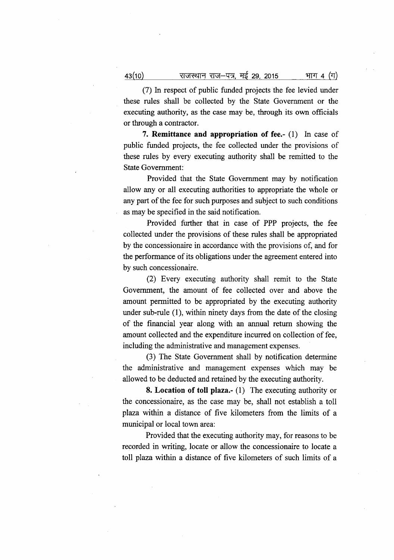राजस्थान राज–पत्र, मई 29, 2015  $43(10)$ भाग 4 (ग)

(7) In respect of public funded projects the fee levied under these rules shall be collected by the State Government or the executing authority, as the case may be, through its own officials or through a contractor.

**7. Remittance and** appropriation **of fee.-** (1) In case of public funded projects, the fee collected under the provisions of these rules by every executing authority shall be remitted to the State Government:

Provided that the State Government may by notification allow any or all executing authorities to appropriate the whole or any part of the fee for such purposes and subject to such conditions as may be specified in the said notification.

Provided further that in case of PPP projects, the fee collected under the provisions of these rules shall be appropriated by the concessionaire in accordance with the provisions of, and for the performance of its obligations under the agreement entered into by such concessionaire.

(2) Every executing authority shall remit to the State Government, the amount of fee collected over and above the amount permitted to be appropriated by the executing authority under sub-rule (1), within ninety days from the date of the closing of the financial year along with an annual return showing the amount collected and the expenditure incurred on collection of fee, including the administrative and management expenses.

(3) The State Government shall by notification determine the administrative and management expenses which may be allowed to be deducted and retained by the executing authority.

**8. Location of toll plaza.-** (1) The executing authority or the concessionaire, as the case may be, shall not establish a toll plaza within a distance of five kilometers from the limits of a municipal or local town area:

Provided that the executing authority may, for reasons to be recorded in writing, locate or allow the concessionaire to locate a toll plaza within a distance of five kilometers of such limits of a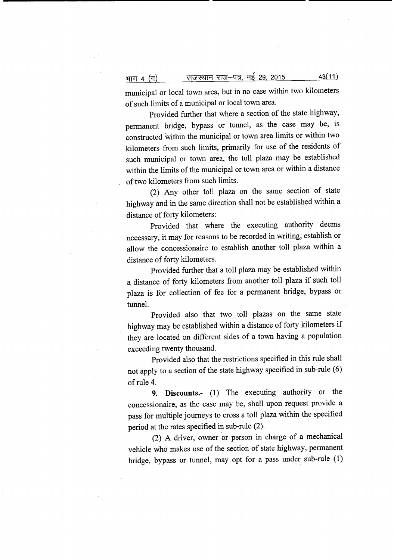भाग 4 (ग) याजस्थान राज-पत्र, मई 29, 2015 <u>13(11)</u>

municipal or local town area, but in no case within two kilometers of such limits of a municipal or local town area.

Provided further that where a section of the state highway, permanent bridge, bypass or tunnel, as the case may be, is constructed within the municipal or town area limits or within two kilometers from such limits, primarily for use of the residents of such municipal or town area, the toll plaza may be established within the limits of the municipal or town area or within a distance of two kilometers from such limits.

(2) Any other toll plaza on the same section of state highway and in the same direction shall not be established within a distance of forty kilometers:

Provided that where the executing authority deems necessary, it may for reasons to be recorded in writing, establish or allow the concessionaire to establish another toll plaza within a distance of forty kilometers.

Provided further that a toll plaza may be established within a distance of forty kilometers from another toll plaza if such toll plaza is for collection of fee for a permanent bridge, bypass or tunnel.

Provided also that two toll plazas on the same state highway may be established within a distance of forty kilometers if they are located on different sides of a town having a population exceeding twenty thousand.

Provided also that the restrictions specified in this rule shall not apply to a section of the state highway specified in sub-rule (6) of rule 4.

**9. Discounts.-** (1) The executing authority or the concessionaire, as the case may be, shall upon request provide a pass for multiple journeys to cross a toll plaza within the specified period at the rates specified in sub-rule (2).

(2) A driver, owner or person in charge of a mechanical vehicle who makes use of the section of state highway, permanent bridge, bypass or tunnel, may opt for a pass under sub-rule  $(1)$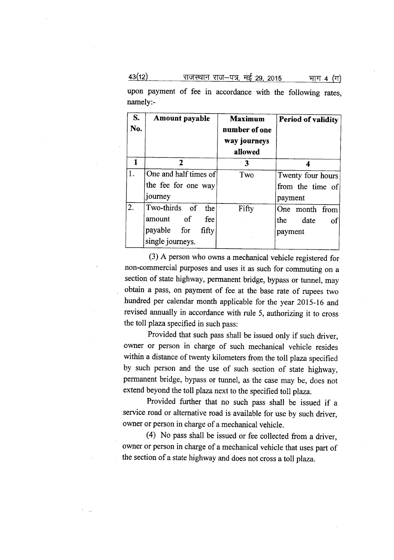$\frac{43(12)}{412}$   $\frac{71}{12}$   $\frac{13(12)}{12}$   $\frac{13(12)}{12}$   $\frac{13(12)}{12}$   $\frac{13(12)}{12}$   $\frac{13(12)}{12}$   $\frac{13(12)}{12}$   $\frac{13(12)}{12}$   $\frac{13(12)}{12}$   $\frac{13(12)}{12}$   $\frac{13(12)}{12}$   $\frac{13(12)}{12}$   $\frac{13(12)}{12}$ 

upon payment of fee in accordance with the following rates, namely:-

| <b>S.</b><br>No. | Amount payable                                                                        | <b>Maximum</b><br>number of one<br>way journeys<br>allowed | <b>Period of validity</b>                        |
|------------------|---------------------------------------------------------------------------------------|------------------------------------------------------------|--------------------------------------------------|
| 1                | $\mathbf{2}$                                                                          | 3                                                          |                                                  |
| 1.               | One and half times of<br>the fee for one way<br>journey                               | Two                                                        | Twenty four hours<br>from the time of<br>payment |
| 2.               | Two-thirds of<br>thel<br>amount of<br>fee<br>payable for<br>fifty<br>single journeys. | Fifty                                                      | One month from<br>the<br>date<br>οf<br>payment   |

(3) A person who owns a mechanical vehicle registered for non-commercial purposes and uses it as such for commuting on a section of state highway, permanent bridge, bypass or tunnel, may obtain a pass, on payment of fee at the base rate of rupees two hundred per calendar month applicable for the year 2015-16 and revised annually in accordance with rule 5, authorizing it to cross the toll plaza specified in such pass:

Provided that such pass shall be issued only if such driver, owner or person in charge of such mechanical vehicle resides within a distance of twenty kilometers from the toll plaza specified by such person and the use of such section of state highway, permanent bridge, bypass or tunnel, as the case may be, does not extend beyond the toll plaza next to the specified toll plaza.

Provided further that no such pass shall be issued if a service road or alternative road is available for use by such driver, owner or person in charge of a mechanical vehicle.

(4) No pass shall be issued or fee collected from a driver, owner or person in charge of a mechanical vehicle that uses part of the section of a state highway and does not cross a toll plaza.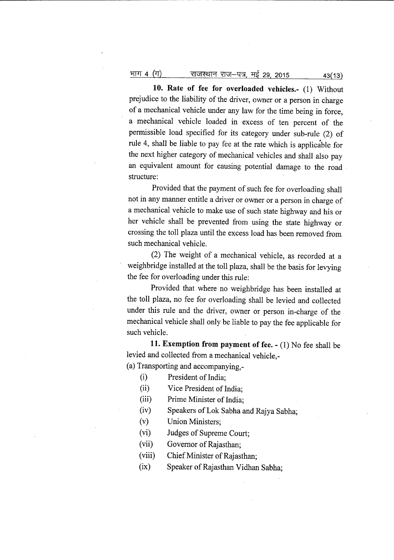# <u>भाग 4 (ग) राजस्थान राज-पत्र,</u> मई 29, 2015 43(13)

**10. Rate of fee for overloaded vehicles.-** (1) Without prejudice to the liability of the driver, owner or a person in charge of a mechanical vehicle under any law for the time being in force, a mechanical vehicle loaded in excess of ten percent of the permissible load specified for its category under sub-rule (2) of rule 4, shall be liable to pay fee at the rate which is applicable for the next higher category of mechanical vehicles and shall also pay an equivalent amount for causing potential damage to the road . structure:

Provided that the payment of such fee for overloading shall not in any manner entitle a driver or owner or a person in charge of. a mechanical vehicle to make use of such state highway and his or her vehicle shall be prevented from using the state highway or crossing the toll plaza until the excess load has been removed from such mechanical vehicle.

(2) The weight of a mechanical vehicle, as recorded at a weighbridge installed at the toll plaza, shall be the basis for levying the fee for overloading under this rule:

Provided that where no weighbridge has been installed at the toll plaza, no fee for overloading shall be levied and collected under this rule and the driver, owner or person in-charge of the mechanical vehicle shall only be liable to pay the fee applicable for such vehicle.

**11. Exemption from payment of fee. -** (1) No fee shall be levied and collected from a mechanical vehicle,- (a) Transporting and accompanying,-

(i) President of India;

- 
- (ii) Vice President of India;
- (iii) Prime Minister of India;
- (iv) Speakers ofLok Sabha and Rajya Sabha;

(v) Union Ministers;

- (vi) Judges of Supreme Court;
- (vii) Governor of Rajasthan;
- (viii) Chief Minister of Rajasthan;
- (ix) Speaker of Rajasthan Vidhan Sabha;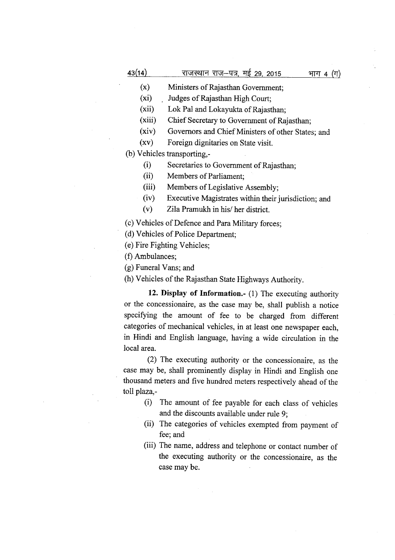| 43(14) | राजस्थान राज–पत्र, मई 29, 2015     | भाग 4 (ग) |
|--------|------------------------------------|-----------|
| (x)    | Ministers of Rajasthan Government; |           |
| (xi)   | Judges of Rajasthan High Court;    |           |

(xii) Lok Pal and Lokayukta of Rajasthan;

(xiii) Chief Secretary to Government of Rajasthan;

(xiv) Governors and Chief Ministers of other States; and

(xv) Foreign dignitaries on State visit.

(b) Vehicles transporting,-

(i) Secretaries to Government of Rajasthan;

(ii) Members of Parliament;

(iii) Members of Legislative Assembly;

(iv) Executive Magistrates within their jurisdiction; and

(v) Zila Pramukh in his/ her district.

(c) Vehicles of Defence and Para Military forces;

(d) Vehicles of Police Department;

(e) Fire Fighting Vehicles;

(f) Ambulances;

(g) Funeral Vans; and

(h) Vehicles of the Rajasthan State Highways Authority.

**12. Display of Information.-** (1) The executing authority or the concessionaire, as the case may be, shall publish a notice specifying the amount of fee to be charged from different categories of mechanical vehicles, in at least one newspaper each, in Hindi and English language, having a wide circulation in the local area.

(2) The executing authority or the concessionaire, as the case may be, shall prominently display in Hindi and English one thousand meters and five hundred meters respectively ahead of the toll plaza,-

- (i) The amount of fee payable for each class of vehicles and the discounts available under rule 9;
- (ii) The categories of vehicles exempted from payment of fee; and
- (iii) The name, address and telephone or contact number of the executing authority or the concessionaire, as the case may be.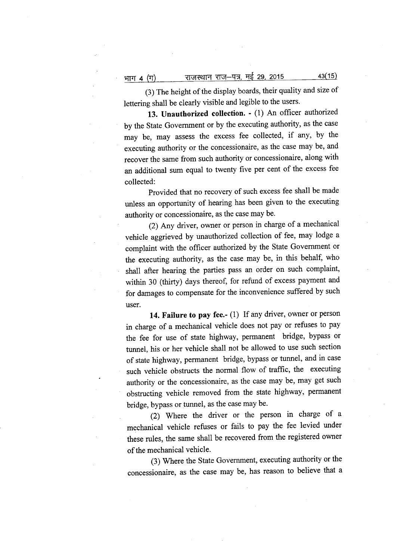भाग 4 (ग)

(3) The height of the display boards, their quality and size of lettering shall be clearly visible and legible to the users.

राजस्थान राज–पत्र, <u>मई 29, 2015</u>

**13. Unauthorized collection. -** (1) An officer authorized by the State Government or by the executing authority, as the case may be, may assess the excess fee collected, if any, by the executing authority or the concessionaire, as the case may be, and recover the same from such authority or concessionaire, along with an additional sum equal to twenty five per cent of the excess fee collected:

Provided that no recovery of such excess fee shall be made unless an opportunity of hearing has been given to the executing authority or concessionaire, as the case may be.

(2) Any driver, owner or person in charge of a mechanical vehicle aggrieved by unauthorized collection of fee, may lodge a complaint with the officer authorized by the State Government or the executing authority, as the case may be, in this behalf, who shall after hearing the parties pass an order on such complaint, within 30 (thirty) days thereof, for refund of excess payment and for damages to compensate for the inconvenience suffered by such user.

**14. Failure to pay** fee.- (1) If any driver, owner or person in charge of a mechanical vehicle does not pay or refuses to pay the fee for use of state highway, permanent bridge, bypass or tunnel, his or her vehicle shall not be allowed to use such section of state highway, permanent bridge, bypass or tunnel, and in case such vehicle obstructs the normal flow of traffic, the executing authority or the concessionaire, as the case may be, may get such obstructing vehicle removed from the state highway, permanent bridge, bypass or tunnel, as the case may be.

(2) Where the driver or the person in charge of a mechanical vehicle refuses or fails to pay the fee levied under these rules, the same shall be recovered from the registered owner of the mechanical vehicle.

(3) Where the State Government, executing authority or the concessionaire, as the case may be, has reason to believe that a

43(15)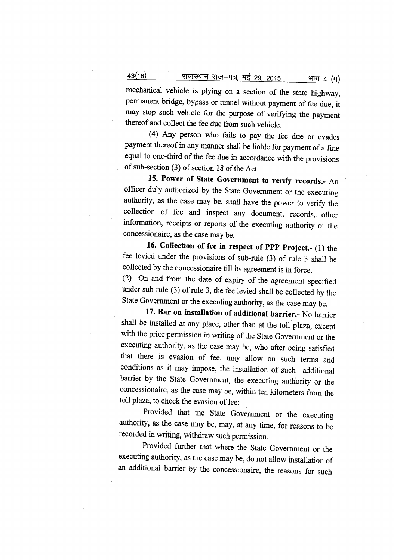43(16) <sup>~</sup> XNf-"Q?f, <sup>~</sup> 29,2015 'JWT <sup>4</sup> (IT)

mechanical vehicle is plying on a section of the state highway, permanent bridge, bypass or tunnel without payment of fee due, it may stop such vehicle for the purpose of verifying the payment thereof and collect the fee due from such vehicle.

(4) Any person who fails to pay the fee due or evades payment thereof in any manner shall be liable for payment of a fine equal to one-third of the fee due in accordance with the provisions of sub-section (3) of section 18 of the Act.

**15. Power of State Government to verify records.-** An officer duly authorized by the State Government or the executing authority, as the case may be, shall have the power to verify the collection of fee and inspect any document, records, other information, receipts or reports of the executing authority or the concessionaire, as the case may be.

**16. Collection of fee in respect of PPP Project.-** (1) the fee levied under the provisions of sub-rule (3) of rule 3 shall be collected by the concessionaire till its agreement is in force.

(2) On and from the date of expiry of the agreement specified under sub-rule (3) of rule 3, the fee levied shall be collected by the State Government or the executing authority, as the case may be.

**17. Bar on installation of additional barrier.-** No barrier shall be installed at any place, other than at the toll plaza, except with the prior permission in writing of the State Government or the executing authority, as the case may be, who after being satisfied that there is evasion of fee, may allow on such terms and conditions as it may impose, the installation of such additional barrier by the State Government, the executing authority or the concessionaire, as the case may be, within ten kilometers from the toll plaza, to check the evasion of fee:

Provided that the State Government or the executing authority, as the case may be, may, at any time, for reasons to be recorded in writing, withdraw such permission.

Provided further that where the State Government or the executing authority, as the case may be, do not allow installation of an additional barrier by the concessionaire, the reasons for such